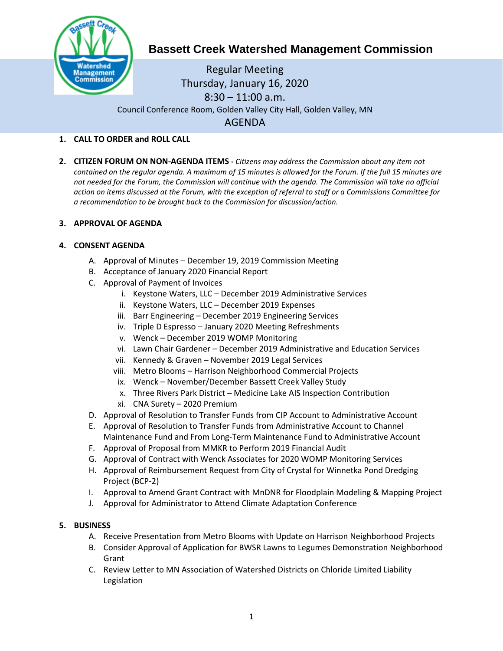

# **Bassett Creek Watershed Management Commission**

Regular Meeting Thursday, January 16, 2020  $8:30 - 11:00$  a.m. Council Conference Room, Golden Valley City Hall, Golden Valley, MN AGENDA

## **1. CALL TO ORDER and ROLL CALL**

**2. CITIZEN FORUM ON NON-AGENDA ITEMS -** *Citizens may address the Commission about any item not contained on the regular agenda. A maximum of 15 minutes is allowed for the Forum. If the full 15 minutes are*  not needed for the Forum, the Commission will continue with the agenda. The Commission will take no official *action on items discussed at the Forum, with the exception of referral to staff or a Commissions Committee for a recommendation to be brought back to the Commission for discussion/action.*

# **3. APPROVAL OF AGENDA**

### **4. CONSENT AGENDA**

- A. Approval of Minutes December 19, 2019 Commission Meeting
- B. Acceptance of January 2020 Financial Report
- C. Approval of Payment of Invoices
	- i. Keystone Waters, LLC December 2019 Administrative Services
	- ii. Keystone Waters, LLC December 2019 Expenses
	- iii. Barr Engineering December 2019 Engineering Services
	- iv. Triple D Espresso January 2020 Meeting Refreshments
	- v. Wenck December 2019 WOMP Monitoring
	- vi. Lawn Chair Gardener December 2019 Administrative and Education Services
	- vii. Kennedy & Graven November 2019 Legal Services
	- viii. Metro Blooms Harrison Neighborhood Commercial Projects
	- ix. Wenck November/December Bassett Creek Valley Study
	- x. Three Rivers Park District Medicine Lake AIS Inspection Contribution
	- xi. CNA Surety 2020 Premium
- D. Approval of Resolution to Transfer Funds from CIP Account to Administrative Account
- E. Approval of Resolution to Transfer Funds from Administrative Account to Channel Maintenance Fund and From Long-Term Maintenance Fund to Administrative Account
- F. Approval of Proposal from MMKR to Perform 2019 Financial Audit
- G. Approval of Contract with Wenck Associates for 2020 WOMP Monitoring Services
- H. Approval of Reimbursement Request from City of Crystal for Winnetka Pond Dredging Project (BCP-2)
- I. Approval to Amend Grant Contract with MnDNR for Floodplain Modeling & Mapping Project
- J. Approval for Administrator to Attend Climate Adaptation Conference

### **5. BUSINESS**

- A. Receive Presentation from Metro Blooms with Update on Harrison Neighborhood Projects
- B. Consider Approval of Application for BWSR Lawns to Legumes Demonstration Neighborhood Grant
- C. Review Letter to MN Association of Watershed Districts on Chloride Limited Liability Legislation